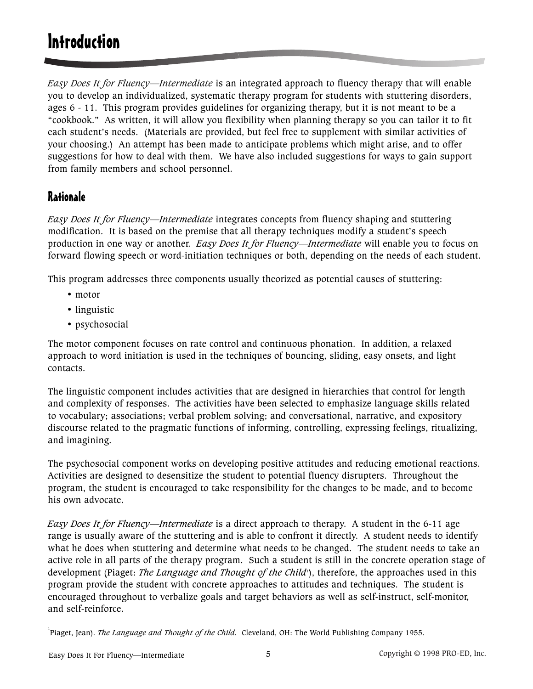# **Introduction**

*Easy Does It for Fluency—Intermediate* is an integrated approach to fluency therapy that will enable you to develop an individualized, systematic therapy program for students with stuttering disorders, ages 6 - 11. This program provides guidelines for organizing therapy, but it is not meant to be a "cookbook." As written, it will allow you flexibility when planning therapy so you can tailor it to fit each student's needs. (Materials are provided, but feel free to supplement with similar activities of your choosing.) An attempt has been made to anticipate problems which might arise, and to offer suggestions for how to deal with them. We have also included suggestions for ways to gain support from family members and school personnel.

## **Rationale**

*Easy Does It for Fluency—Intermediate* integrates concepts from fluency shaping and stuttering modification. It is based on the premise that all therapy techniques modify a student's speech production in one way or another. *Easy Does It for Fluency—Intermediate* will enable you to focus on forward flowing speech or word-initiation techniques or both, depending on the needs of each student.

This program addresses three components usually theorized as potential causes of stuttering:

- motor
- linguistic
- psychosocial

The motor component focuses on rate control and continuous phonation. In addition, a relaxed approach to word initiation is used in the techniques of bouncing, sliding, easy onsets, and light contacts.

The linguistic component includes activities that are designed in hierarchies that control for length and complexity of responses. The activities have been selected to emphasize language skills related to vocabulary; associations; verbal problem solving; and conversational, narrative, and expository discourse related to the pragmatic functions of informing, controlling, expressing feelings, ritualizing, and imagining.

The psychosocial component works on developing positive attitudes and reducing emotional reactions. Activities are designed to desensitize the student to potential fluency disrupters. Throughout the program, the student is encouraged to take responsibility for the changes to be made, and to become his own advocate.

*Easy Does It for Fluency—Intermediate* is a direct approach to therapy. A student in the 6-11 age range is usually aware of the stuttering and is able to confront it directly. A student needs to identify what he does when stuttering and determine what needs to be changed. The student needs to take an active role in all parts of the therapy program. Such a student is still in the concrete operation stage of development (Piaget: *The Language and Thought of the Child*'), therefore, the approaches used in this program provide the student with concrete approaches to attitudes and techniques. The student is encouraged throughout to verbalize goals and target behaviors as well as self-instruct, self-monitor, and self-reinforce.

<sup>1</sup>Piaget, Jean). *The Language and Thought of the Child.* Cleveland, OH: The World Publishing Company 1955.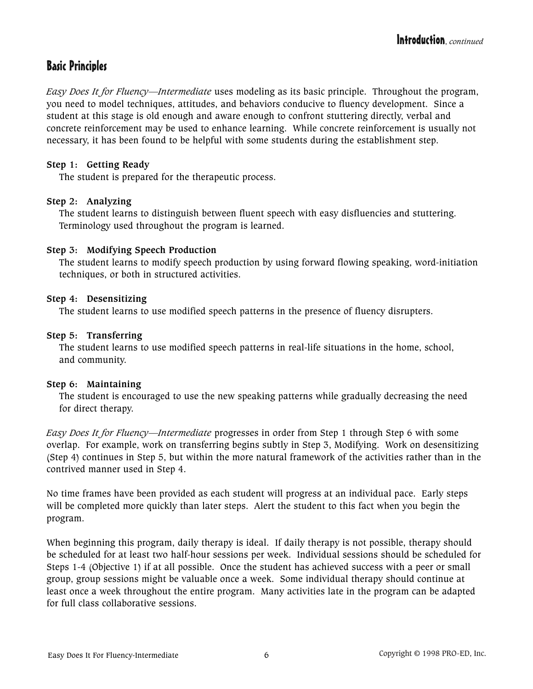## Basic Principles

*Easy Does It for Fluency—Intermediate* uses modeling as its basic principle. Throughout the program, you need to model techniques, attitudes, and behaviors conducive to fluency development. Since a student at this stage is old enough and aware enough to confront stuttering directly, verbal and concrete reinforcement may be used to enhance learning. While concrete reinforcement is usually not necessary, it has been found to be helpful with some students during the establishment step.

#### **Step 1: Getting Ready**

The student is prepared for the therapeutic process.

#### **Step 2: Analyzing**

The student learns to distinguish between fluent speech with easy disfluencies and stuttering. Terminology used throughout the program is learned.

#### **Step 3: Modifying Speech Production**

The student learns to modify speech production by using forward flowing speaking, word-initiation techniques, or both in structured activities.

#### **Step 4: Desensitizing**

The student learns to use modified speech patterns in the presence of fluency disrupters.

#### **Step 5: Transferring**

The student learns to use modified speech patterns in real-life situations in the home, school, and community.

#### **Step 6: Maintaining**

The student is encouraged to use the new speaking patterns while gradually decreasing the need for direct therapy.

*Easy Does It for Fluency—Intermediate* progresses in order from Step 1 through Step 6 with some overlap. For example, work on transferring begins subtly in Step 3, Modifying. Work on desensitizing (Step 4) continues in Step 5, but within the more natural framework of the activities rather than in the contrived manner used in Step 4.

No time frames have been provided as each student will progress at an individual pace. Early steps will be completed more quickly than later steps. Alert the student to this fact when you begin the program.

When beginning this program, daily therapy is ideal. If daily therapy is not possible, therapy should be scheduled for at least two half-hour sessions per week. Individual sessions should be scheduled for Steps 1-4 (Objective 1) if at all possible. Once the student has achieved success with a peer or small group, group sessions might be valuable once a week. Some individual therapy should continue at least once a week throughout the entire program. Many activities late in the program can be adapted for full class collaborative sessions.